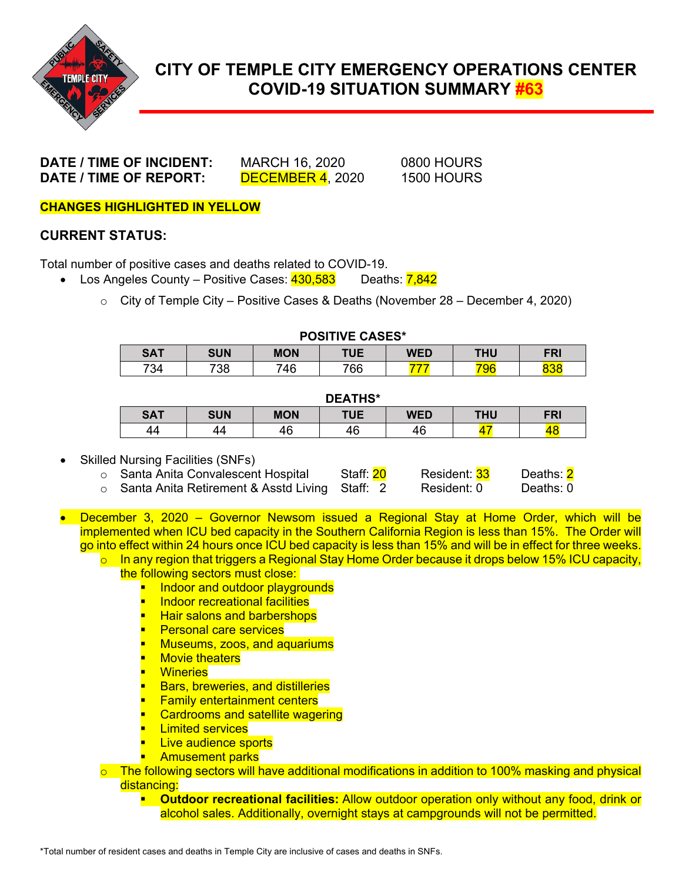

# **CITY OF TEMPLE CITY EMERGENCY OPERATIONS CENTER COVID-19 SITUATION SUMMARY #63**

**DATE / TIME OF INCIDENT:** MARCH 16, 2020 0800 HOURS **DATE / TIME OF REPORT:** DECEMBER 4, 2020 1500 HOURS

**CHANGES HIGHLIGHTED IN YELLOW**

### **CURRENT STATUS:**

Total number of positive cases and deaths related to COVID-19.

- Los Angeles County Positive Cases:  $\frac{430,583}{20}$  Deaths:  $\frac{7,842}{20}$ 
	- $\circ$  City of Temple City Positive Cases & Deaths (November 28 December 4, 2020)

| PUSHIVE UASES |            |            |     |     |     |            |  |
|---------------|------------|------------|-----|-----|-----|------------|--|
| <b>SAT</b>    | <b>SUN</b> | <b>MON</b> | TUE | WED | THU | <b>FRI</b> |  |
| 734           | 738        | 746        | 766 |     |     |            |  |

**POSITIVE CASES\***

#### **DEATHS\***

| ------     |            |            |     |            |     |            |  |
|------------|------------|------------|-----|------------|-----|------------|--|
| <b>SAT</b> | <b>SUN</b> | <b>MON</b> | TUE | <b>WED</b> | THU | <b>FRI</b> |  |
| 44         | 44         | 46         | 4c  | 46         |     |            |  |

#### Skilled Nursing Facilities (SNFs)

| ○ Santa Anita Convalescent Hospital              | Staff: 20 | Resident: 33 | Deaths: <mark>2</mark> |
|--------------------------------------------------|-----------|--------------|------------------------|
| ○ Santa Anita Retirement & Asstd Living Staff: 2 |           | Resident: 0  | Deaths: 0              |

- December 3, 2020 Governor Newsom issued a Regional Stay at Home Order, which will be implemented when ICU bed capacity in the Southern California Region is less than 15%. The Order will go into effect within 24 hours once ICU bed capacity is less than 15% and will be in effect for three weeks.
	- $\circ$  In any region that triggers a Regional Stay Home Order because it drops below 15% ICU capacity, the following sectors must close:
		- **I** lndoor and outdoor playgrounds
		- **Indoor recreational facilities**
		- **Hair salons and barbershops**
		- **Personal care services**
		- **Museums, zoos, and aquariums**
		- Movie theaters
		- **Wineries**
		- Bars, breweries, and distilleries
		- **Family entertainment centers**
		- **Cardrooms and satellite wagering**
		- **Limited services**
		- **Live audience sports**
		- **Amusement parks**
	- $\circ$  The following sectors will have additional modifications in addition to 100% masking and physical distancing:
		- **Outdoor recreational facilities:** Allow outdoor operation only without any food, drink or alcohol sales. Additionally, overnight stays at campgrounds will not be permitted.

\*Total number of resident cases and deaths in Temple City are inclusive of cases and deaths in SNFs.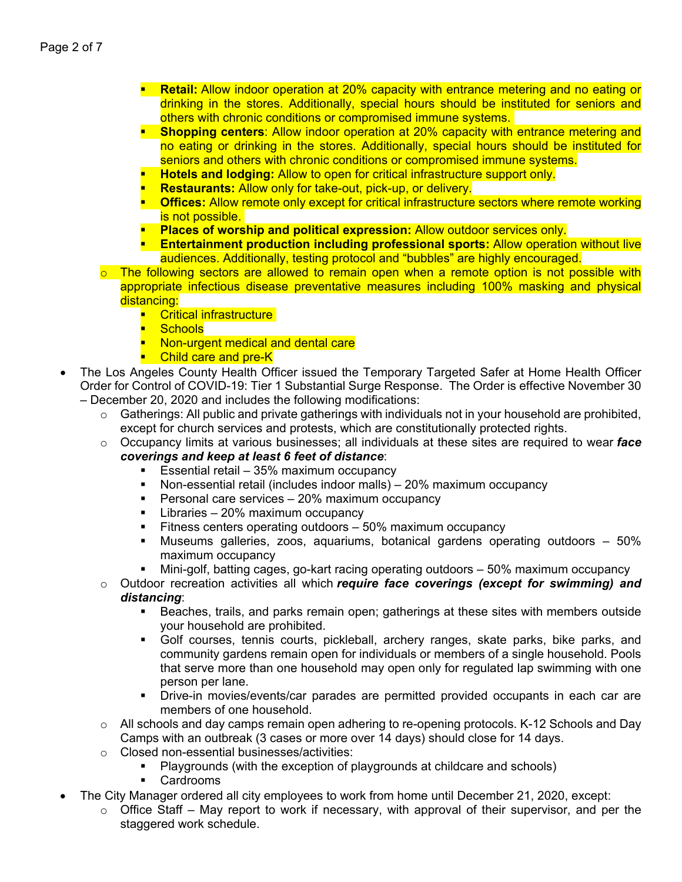- **Retail:** Allow indoor operation at 20% capacity with entrance metering and no eating or drinking in the stores. Additionally, special hours should be instituted for seniors and others with chronic conditions or compromised immune systems.
- **Shopping centers**: Allow indoor operation at 20% capacity with entrance metering and no eating or drinking in the stores. Additionally, special hours should be instituted for seniors and others with chronic conditions or compromised immune systems.
- **Hotels and lodging:** Allow to open for critical infrastructure support only.
- **Restaurants:** Allow only for take-out, pick-up, or delivery.
- **Dffices:** Allow remote only except for critical infrastructure sectors where remote working is not possible.
- **Places of worship and political expression:** Allow outdoor services only.
- **Entertainment production including professional sports:** Allow operation without live audiences. Additionally, testing protocol and "bubbles" are highly encouraged.
- The following sectors are allowed to remain open when a remote option is not possible with appropriate infectious disease preventative measures including 100% masking and physical distancing:
	- **Critical infrastructure**
	- **B** Schools
	- **Non-urgent medical and dental care**
	- **Child care and pre-K**
- The Los Angeles County Health Officer issued the Temporary Targeted Safer at Home Health Officer Order for Control of COVID-19: Tier 1 Substantial Surge Response. The Order is effective November 30 – December 20, 2020 and includes the following modifications:
	- $\circ$  Gatherings: All public and private gatherings with individuals not in your household are prohibited, except for church services and protests, which are constitutionally protected rights.
	- o Occupancy limits at various businesses; all individuals at these sites are required to wear *face coverings and keep at least 6 feet of distance*:
		- Essential retail 35% maximum occupancy<br>■ Non-essential retail (includes indoor malls) –
		- Non-essential retail (includes indoor malls) 20% maximum occupancy
		- **Personal care services 20% maximum occupancy**
		- **Libraries 20% maximum occupancy**
		- **Fitness centers operating outdoors 50% maximum occupancy**
		- Museums galleries, zoos, aquariums, botanical gardens operating outdoors 50% maximum occupancy
		- Mini-golf, batting cages, go-kart racing operating outdoors 50% maximum occupancy

o Outdoor recreation activities all which *require face coverings (except for swimming) and distancing*:

- Beaches, trails, and parks remain open; gatherings at these sites with members outside your household are prohibited.
- Golf courses, tennis courts, pickleball, archery ranges, skate parks, bike parks, and community gardens remain open for individuals or members of a single household. Pools that serve more than one household may open only for regulated lap swimming with one person per lane.
- Drive-in movies/events/car parades are permitted provided occupants in each car are members of one household.
- $\circ$  All schools and day camps remain open adhering to re-opening protocols. K-12 Schools and Day Camps with an outbreak (3 cases or more over 14 days) should close for 14 days.
- o Closed non-essential businesses/activities:<br>■ Plavarounds (with the exception of p
	- Playgrounds (with the exception of playgrounds at childcare and schools)
	- Cardrooms
- The City Manager ordered all city employees to work from home until December 21, 2020, except:
	- $\circ$  Office Staff May report to work if necessary, with approval of their supervisor, and per the staggered work schedule.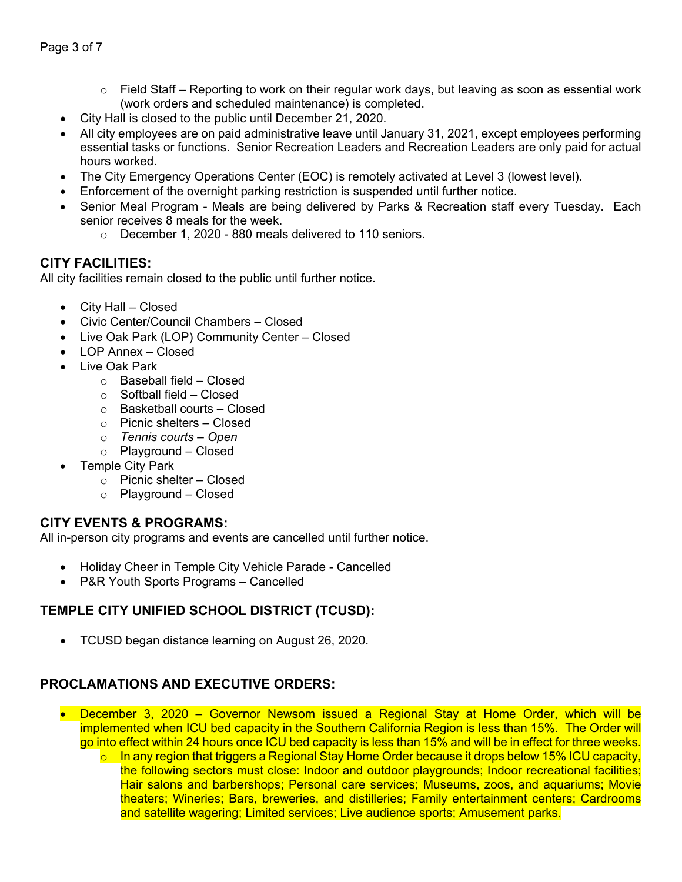- $\circ$  Field Staff Reporting to work on their regular work days, but leaving as soon as essential work (work orders and scheduled maintenance) is completed.
- City Hall is closed to the public until December 21, 2020.
- All city employees are on paid administrative leave until January 31, 2021, except employees performing essential tasks or functions. Senior Recreation Leaders and Recreation Leaders are only paid for actual hours worked.
- The City Emergency Operations Center (EOC) is remotely activated at Level 3 (lowest level).
- Enforcement of the overnight parking restriction is suspended until further notice.
- Senior Meal Program Meals are being delivered by Parks & Recreation staff every Tuesday. Each senior receives 8 meals for the week.
	- o December 1, 2020 880 meals delivered to 110 seniors.

### **CITY FACILITIES:**

All city facilities remain closed to the public until further notice.

- City Hall Closed
- Civic Center/Council Chambers Closed
- Live Oak Park (LOP) Community Center Closed
- LOP Annex Closed
- Live Oak Park
	- o Baseball field Closed
	- $\circ$  Softball field Closed
	- o Basketball courts Closed
	- o Picnic shelters Closed
	- o *Tennis courts – Open*
	- o Playground Closed
- Temple City Park
	- o Picnic shelter Closed
	- o Playground Closed

### **CITY EVENTS & PROGRAMS:**

All in-person city programs and events are cancelled until further notice.

- Holiday Cheer in Temple City Vehicle Parade Cancelled
- P&R Youth Sports Programs Cancelled

## **TEMPLE CITY UNIFIED SCHOOL DISTRICT (TCUSD):**

• TCUSD began distance learning on August 26, 2020.

### **PROCLAMATIONS AND EXECUTIVE ORDERS:**

- December 3, 2020 Governor Newsom issued a Regional Stay at Home Order, which will be implemented when ICU bed capacity in the Southern California Region is less than 15%. The Order will go into effect within 24 hours once ICU bed capacity is less than 15% and will be in effect for three weeks.
	- $\circ$  In any region that triggers a Regional Stay Home Order because it drops below 15% ICU capacity, the following sectors must close: Indoor and outdoor playgrounds; Indoor recreational facilities; Hair salons and barbershops; Personal care services; Museums, zoos, and aquariums; Movie theaters; Wineries; Bars, breweries, and distilleries; Family entertainment centers; Cardrooms and satellite wagering; Limited services; Live audience sports; Amusement parks.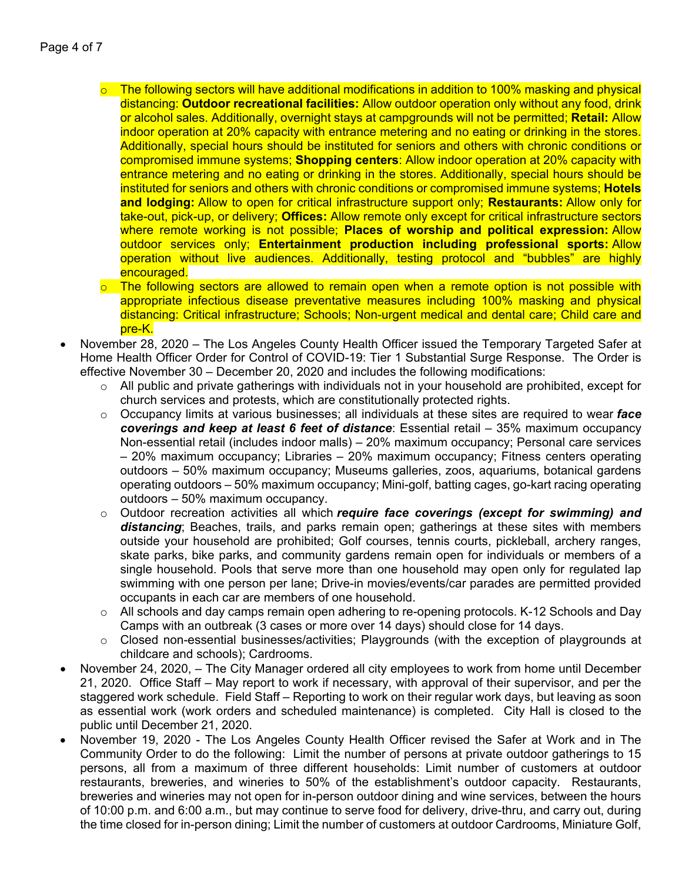- $\circ$  The following sectors will have additional modifications in addition to 100% masking and physical distancing: **Outdoor recreational facilities:** Allow outdoor operation only without any food, drink or alcohol sales. Additionally, overnight stays at campgrounds will not be permitted; **Retail:** Allow indoor operation at 20% capacity with entrance metering and no eating or drinking in the stores. Additionally, special hours should be instituted for seniors and others with chronic conditions or compromised immune systems; **Shopping centers**: Allow indoor operation at 20% capacity with entrance metering and no eating or drinking in the stores. Additionally, special hours should be instituted for seniors and others with chronic conditions or compromised immune systems; **Hotels and lodging:** Allow to open for critical infrastructure support only; **Restaurants:** Allow only for take-out, pick-up, or delivery; **Offices:** Allow remote only except for critical infrastructure sectors where remote working is not possible; **Places of worship and political expression:** Allow outdoor services only; **Entertainment production including professional sports:** Allow operation without live audiences. Additionally, testing protocol and "bubbles" are highly encouraged.
- $\circ$  The following sectors are allowed to remain open when a remote option is not possible with appropriate infectious disease preventative measures including 100% masking and physical distancing: Critical infrastructure; Schools; Non-urgent medical and dental care; Child care and pre-K.
- November 28, 2020 The Los Angeles County Health Officer issued the Temporary Targeted Safer at Home Health Officer Order for Control of COVID-19: Tier 1 Substantial Surge Response. The Order is effective November 30 – December 20, 2020 and includes the following modifications:
	- o All public and private gatherings with individuals not in your household are prohibited, except for church services and protests, which are constitutionally protected rights.
	- o Occupancy limits at various businesses; all individuals at these sites are required to wear *face coverings and keep at least 6 feet of distance*: Essential retail – 35% maximum occupancy Non-essential retail (includes indoor malls) – 20% maximum occupancy; Personal care services – 20% maximum occupancy; Libraries – 20% maximum occupancy; Fitness centers operating outdoors – 50% maximum occupancy; Museums galleries, zoos, aquariums, botanical gardens operating outdoors – 50% maximum occupancy; Mini-golf, batting cages, go-kart racing operating outdoors – 50% maximum occupancy.
	- o Outdoor recreation activities all which *require face coverings (except for swimming) and*  distancing; Beaches, trails, and parks remain open; gatherings at these sites with members outside your household are prohibited; Golf courses, tennis courts, pickleball, archery ranges, skate parks, bike parks, and community gardens remain open for individuals or members of a single household. Pools that serve more than one household may open only for regulated lap swimming with one person per lane; Drive-in movies/events/car parades are permitted provided occupants in each car are members of one household.
	- $\circ$  All schools and day camps remain open adhering to re-opening protocols. K-12 Schools and Day Camps with an outbreak (3 cases or more over 14 days) should close for 14 days.
	- $\circ$  Closed non-essential businesses/activities; Playgrounds (with the exception of playgrounds at childcare and schools); Cardrooms.
- November 24, 2020, The City Manager ordered all city employees to work from home until December 21, 2020. Office Staff – May report to work if necessary, with approval of their supervisor, and per the staggered work schedule. Field Staff – Reporting to work on their regular work days, but leaving as soon as essential work (work orders and scheduled maintenance) is completed. City Hall is closed to the public until December 21, 2020.
- November 19, 2020 The Los Angeles County Health Officer revised the Safer at Work and in The Community Order to do the following: Limit the number of persons at private outdoor gatherings to 15 persons, all from a maximum of three different households: Limit number of customers at outdoor restaurants, breweries, and wineries to 50% of the establishment's outdoor capacity. Restaurants, breweries and wineries may not open for in-person outdoor dining and wine services, between the hours of 10:00 p.m. and 6:00 a.m., but may continue to serve food for delivery, drive-thru, and carry out, during the time closed for in-person dining; Limit the number of customers at outdoor Cardrooms, Miniature Golf,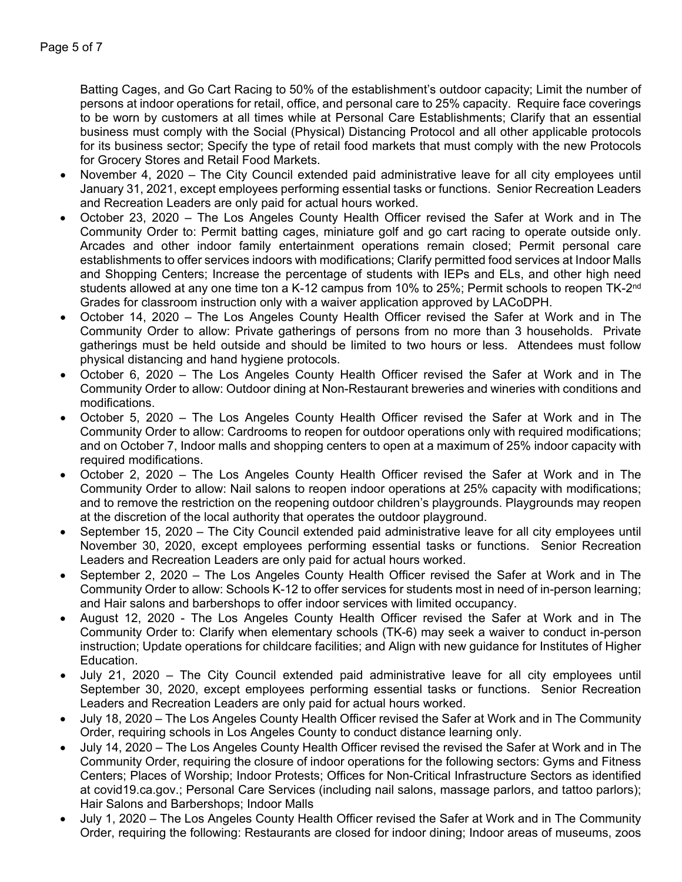Batting Cages, and Go Cart Racing to 50% of the establishment's outdoor capacity; Limit the number of persons at indoor operations for retail, office, and personal care to 25% capacity. Require face coverings to be worn by customers at all times while at Personal Care Establishments; Clarify that an essential business must comply with the Social (Physical) Distancing Protocol and all other applicable protocols for its business sector; Specify the type of retail food markets that must comply with the new Protocols for Grocery Stores and Retail Food Markets.

- November 4, 2020 The City Council extended paid administrative leave for all city employees until January 31, 2021, except employees performing essential tasks or functions. Senior Recreation Leaders and Recreation Leaders are only paid for actual hours worked.
- October 23, 2020 The Los Angeles County Health Officer revised the Safer at Work and in The Community Order to: Permit batting cages, miniature golf and go cart racing to operate outside only. Arcades and other indoor family entertainment operations remain closed; Permit personal care establishments to offer services indoors with modifications; Clarify permitted food services at Indoor Malls and Shopping Centers; Increase the percentage of students with IEPs and ELs, and other high need students allowed at any one time ton a K-12 campus from 10% to 25%; Permit schools to reopen TK-2<sup>nd</sup> Grades for classroom instruction only with a waiver application approved by LACoDPH.
- October 14, 2020 The Los Angeles County Health Officer revised the Safer at Work and in The Community Order to allow: Private gatherings of persons from no more than 3 households. Private gatherings must be held outside and should be limited to two hours or less. Attendees must follow physical distancing and hand hygiene protocols.
- October 6, 2020 The Los Angeles County Health Officer revised the Safer at Work and in The Community Order to allow: Outdoor dining at Non-Restaurant breweries and wineries with conditions and modifications.
- October 5, 2020 The Los Angeles County Health Officer revised the Safer at Work and in The Community Order to allow: Cardrooms to reopen for outdoor operations only with required modifications; and on October 7, Indoor malls and shopping centers to open at a maximum of 25% indoor capacity with required modifications.
- October 2, 2020 The Los Angeles County Health Officer revised the Safer at Work and in The Community Order to allow: Nail salons to reopen indoor operations at 25% capacity with modifications; and to remove the restriction on the reopening outdoor children's playgrounds. Playgrounds may reopen at the discretion of the local authority that operates the outdoor playground.
- September 15, 2020 The City Council extended paid administrative leave for all city employees until November 30, 2020, except employees performing essential tasks or functions. Senior Recreation Leaders and Recreation Leaders are only paid for actual hours worked.
- September 2, 2020 The Los Angeles County Health Officer revised the Safer at Work and in The Community Order to allow: Schools K-12 to offer services for students most in need of in-person learning; and Hair salons and barbershops to offer indoor services with limited occupancy.
- August 12, 2020 The Los Angeles County Health Officer revised the Safer at Work and in The Community Order to: Clarify when elementary schools (TK-6) may seek a waiver to conduct in-person instruction; Update operations for childcare facilities; and Align with new guidance for Institutes of Higher Education.
- July 21, 2020 The City Council extended paid administrative leave for all city employees until September 30, 2020, except employees performing essential tasks or functions. Senior Recreation Leaders and Recreation Leaders are only paid for actual hours worked.
- July 18, 2020 The Los Angeles County Health Officer revised the Safer at Work and in The Community Order, requiring schools in Los Angeles County to conduct distance learning only.
- July 14, 2020 The Los Angeles County Health Officer revised the revised the Safer at Work and in The Community Order, requiring the closure of indoor operations for the following sectors: Gyms and Fitness Centers; Places of Worship; Indoor Protests; Offices for Non-Critical Infrastructure Sectors as identified at covid19.ca.gov.; Personal Care Services (including nail salons, massage parlors, and tattoo parlors); Hair Salons and Barbershops; Indoor Malls
- July 1, 2020 The Los Angeles County Health Officer revised the Safer at Work and in The Community Order, requiring the following: Restaurants are closed for indoor dining; Indoor areas of museums, zoos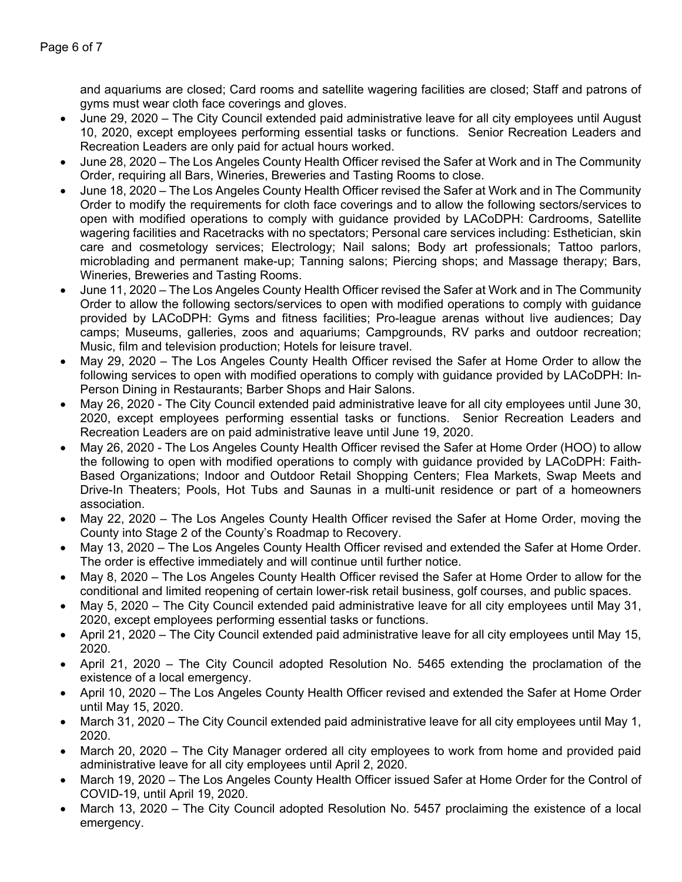and aquariums are closed; Card rooms and satellite wagering facilities are closed; Staff and patrons of gyms must wear cloth face coverings and gloves.

- June 29, 2020 The City Council extended paid administrative leave for all city employees until August 10, 2020, except employees performing essential tasks or functions. Senior Recreation Leaders and Recreation Leaders are only paid for actual hours worked.
- June 28, 2020 The Los Angeles County Health Officer revised the Safer at Work and in The Community Order, requiring all Bars, Wineries, Breweries and Tasting Rooms to close.
- June 18, 2020 The Los Angeles County Health Officer revised the Safer at Work and in The Community Order to modify the requirements for cloth face coverings and to allow the following sectors/services to open with modified operations to comply with guidance provided by LACoDPH: Cardrooms, Satellite wagering facilities and Racetracks with no spectators; Personal care services including: Esthetician, skin care and cosmetology services; Electrology; Nail salons; Body art professionals; Tattoo parlors, microblading and permanent make-up; Tanning salons; Piercing shops; and Massage therapy; Bars, Wineries, Breweries and Tasting Rooms.
- June 11, 2020 The Los Angeles County Health Officer revised the Safer at Work and in The Community Order to allow the following sectors/services to open with modified operations to comply with guidance provided by LACoDPH: Gyms and fitness facilities; Pro-league arenas without live audiences; Day camps; Museums, galleries, zoos and aquariums; Campgrounds, RV parks and outdoor recreation; Music, film and television production; Hotels for leisure travel.
- May 29, 2020 The Los Angeles County Health Officer revised the Safer at Home Order to allow the following services to open with modified operations to comply with guidance provided by LACoDPH: In-Person Dining in Restaurants; Barber Shops and Hair Salons.
- May 26, 2020 The City Council extended paid administrative leave for all city employees until June 30, 2020, except employees performing essential tasks or functions. Senior Recreation Leaders and Recreation Leaders are on paid administrative leave until June 19, 2020.
- May 26, 2020 The Los Angeles County Health Officer revised the Safer at Home Order (HOO) to allow the following to open with modified operations to comply with guidance provided by LACoDPH: Faith-Based Organizations; Indoor and Outdoor Retail Shopping Centers; Flea Markets, Swap Meets and Drive-In Theaters; Pools, Hot Tubs and Saunas in a multi-unit residence or part of a homeowners association.
- May 22, 2020 The Los Angeles County Health Officer revised the Safer at Home Order, moving the County into Stage 2 of the County's Roadmap to Recovery.
- May 13, 2020 The Los Angeles County Health Officer revised and extended the Safer at Home Order. The order is effective immediately and will continue until further notice.
- May 8, 2020 The Los Angeles County Health Officer revised the Safer at Home Order to allow for the conditional and limited reopening of certain lower-risk retail business, golf courses, and public spaces.
- May 5, 2020 The City Council extended paid administrative leave for all city employees until May 31, 2020, except employees performing essential tasks or functions.
- April 21, 2020 The City Council extended paid administrative leave for all city employees until May 15, 2020.
- April 21, 2020 The City Council adopted Resolution No. 5465 extending the proclamation of the existence of a local emergency.
- April 10, 2020 The Los Angeles County Health Officer revised and extended the Safer at Home Order until May 15, 2020.
- March 31, 2020 The City Council extended paid administrative leave for all city employees until May 1, 2020.
- March 20, 2020 The City Manager ordered all city employees to work from home and provided paid administrative leave for all city employees until April 2, 2020.
- March 19, 2020 The Los Angeles County Health Officer issued Safer at Home Order for the Control of COVID-19, until April 19, 2020.
- March 13, 2020 The City Council adopted Resolution No. 5457 proclaiming the existence of a local emergency.